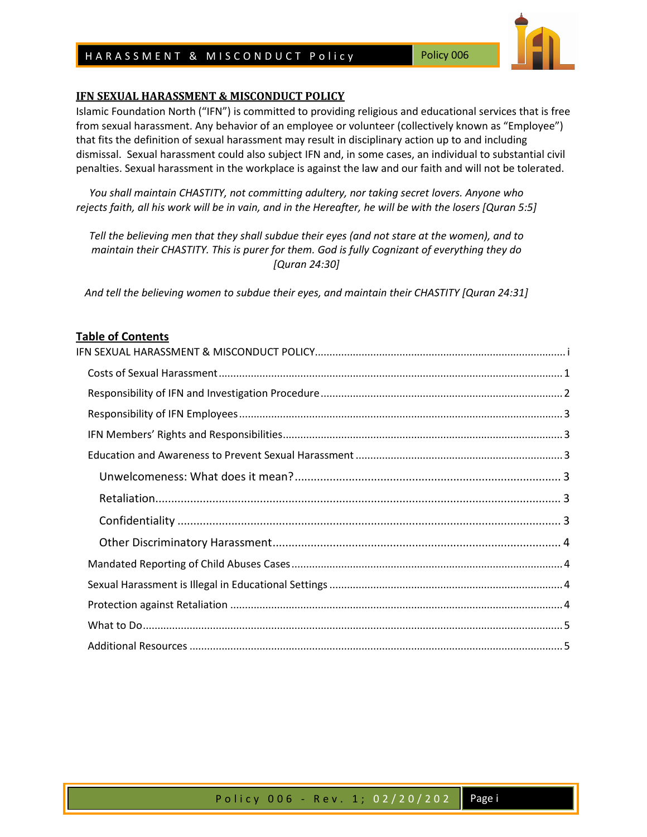# HARASSMENT & MISCONDUCT Policy Policy

### **IFN SEXUAL HARASSMENT & MISCONDUCT POLICY**

Islamic Foundation North ("IFN") is committed to providing religious and educational services that is free from sexual harassment. Any behavior of an employee or volunteer (collectively known as "Employee") that fits the definition of sexual harassment may result in disciplinary action up to and including dismissal. Sexual harassment could also subject IFN and, in some cases, an individual to substantial civil penalties. Sexual harassment in the workplace is against the law and our faith and will not be tolerated.

*You shall maintain CHASTITY, not committing adultery, nor taking secret lovers. Anyone who rejects faith, all his work will be in vain, and in the Hereafter, he will be with the losers [Quran 5:5]* 

*Tell the believing men that they shall subdue their eyes (and not stare at the women), and to maintain their CHASTITY. This is purer for them. God is fully Cognizant of everything they do [Quran 24:30]* 

*And tell the believing women to subdue their eyes, and maintain their CHASTITY [Quran 24:31]* 

## **Table of Contents**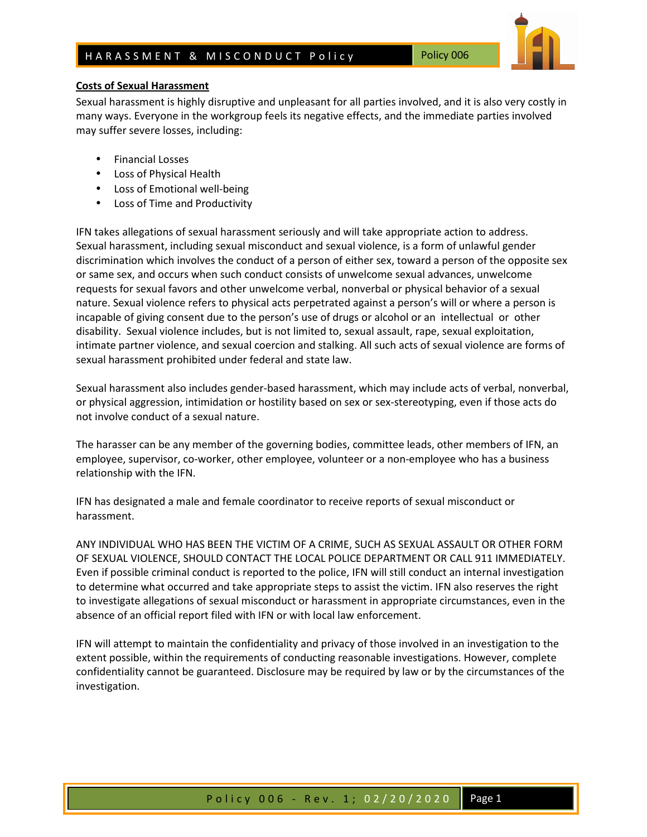

# **Costs of Sexual Harassment**

Sexual harassment is highly disruptive and unpleasant for all parties involved, and it is also very costly in many ways. Everyone in the workgroup feels its negative effects, and the immediate parties involved may suffer severe losses, including:

- Financial Losses
- Loss of Physical Health
- Loss of Emotional well-being
- Loss of Time and Productivity

IFN takes allegations of sexual harassment seriously and will take appropriate action to address. Sexual harassment, including sexual misconduct and sexual violence, is a form of unlawful gender discrimination which involves the conduct of a person of either sex, toward a person of the opposite sex or same sex, and occurs when such conduct consists of unwelcome sexual advances, unwelcome requests for sexual favors and other unwelcome verbal, nonverbal or physical behavior of a sexual nature. Sexual violence refers to physical acts perpetrated against a person's will or where a person is incapable of giving consent due to the person's use of drugs or alcohol or an intellectual or other disability. Sexual violence includes, but is not limited to, sexual assault, rape, sexual exploitation, intimate partner violence, and sexual coercion and stalking. All such acts of sexual violence are forms of sexual harassment prohibited under federal and state law.

Sexual harassment also includes gender-based harassment, which may include acts of verbal, nonverbal, or physical aggression, intimidation or hostility based on sex or sex-stereotyping, even if those acts do not involve conduct of a sexual nature.

The harasser can be any member of the governing bodies, committee leads, other members of IFN, an employee, supervisor, co-worker, other employee, volunteer or a non-employee who has a business relationship with the IFN.

IFN has designated a male and female coordinator to receive reports of sexual misconduct or harassment.

ANY INDIVIDUAL WHO HAS BEEN THE VICTIM OF A CRIME, SUCH AS SEXUAL ASSAULT OR OTHER FORM OF SEXUAL VIOLENCE, SHOULD CONTACT THE LOCAL POLICE DEPARTMENT OR CALL 911 IMMEDIATELY. Even if possible criminal conduct is reported to the police, IFN will still conduct an internal investigation to determine what occurred and take appropriate steps to assist the victim. IFN also reserves the right to investigate allegations of sexual misconduct or harassment in appropriate circumstances, even in the absence of an official report filed with IFN or with local law enforcement.

IFN will attempt to maintain the confidentiality and privacy of those involved in an investigation to the extent possible, within the requirements of conducting reasonable investigations. However, complete confidentiality cannot be guaranteed. Disclosure may be required by law or by the circumstances of the investigation.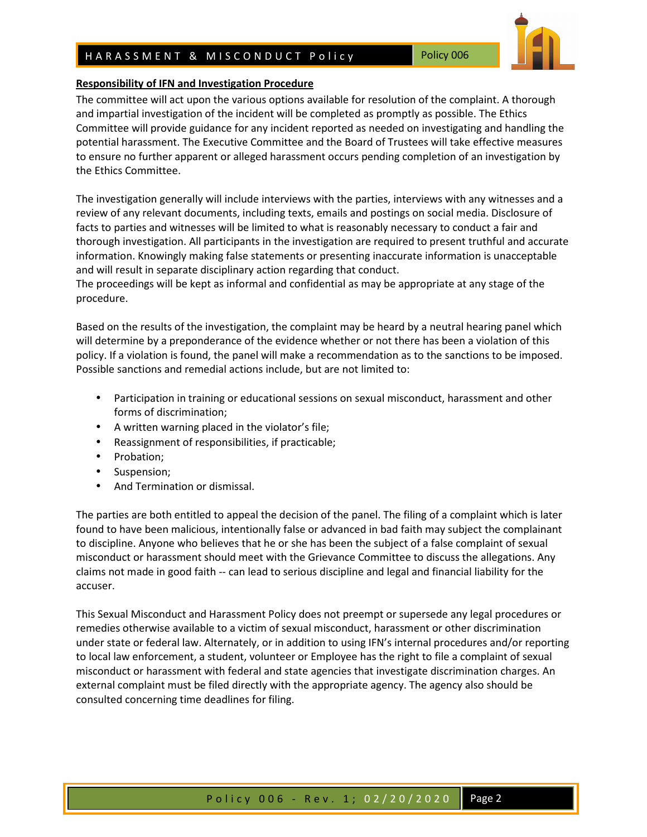# HARASSMENT & MISCONDUCT Policy Policy

#### **Responsibility of IFN and Investigation Procedure**

The committee will act upon the various options available for resolution of the complaint. A thorough and impartial investigation of the incident will be completed as promptly as possible. The Ethics Committee will provide guidance for any incident reported as needed on investigating and handling the potential harassment. The Executive Committee and the Board of Trustees will take effective measures to ensure no further apparent or alleged harassment occurs pending completion of an investigation by the Ethics Committee.

The investigation generally will include interviews with the parties, interviews with any witnesses and a review of any relevant documents, including texts, emails and postings on social media. Disclosure of facts to parties and witnesses will be limited to what is reasonably necessary to conduct a fair and thorough investigation. All participants in the investigation are required to present truthful and accurate information. Knowingly making false statements or presenting inaccurate information is unacceptable and will result in separate disciplinary action regarding that conduct.

The proceedings will be kept as informal and confidential as may be appropriate at any stage of the procedure.

Based on the results of the investigation, the complaint may be heard by a neutral hearing panel which will determine by a preponderance of the evidence whether or not there has been a violation of this policy. If a violation is found, the panel will make a recommendation as to the sanctions to be imposed. Possible sanctions and remedial actions include, but are not limited to:

- Participation in training or educational sessions on sexual misconduct, harassment and other forms of discrimination;
- A written warning placed in the violator's file;
- Reassignment of responsibilities, if practicable;
- Probation;
- Suspension;
- And Termination or dismissal.

The parties are both entitled to appeal the decision of the panel. The filing of a complaint which is later found to have been malicious, intentionally false or advanced in bad faith may subject the complainant to discipline. Anyone who believes that he or she has been the subject of a false complaint of sexual misconduct or harassment should meet with the Grievance Committee to discuss the allegations. Any claims not made in good faith -- can lead to serious discipline and legal and financial liability for the accuser.

This Sexual Misconduct and Harassment Policy does not preempt or supersede any legal procedures or remedies otherwise available to a victim of sexual misconduct, harassment or other discrimination under state or federal law. Alternately, or in addition to using IFN's internal procedures and/or reporting to local law enforcement, a student, volunteer or Employee has the right to file a complaint of sexual misconduct or harassment with federal and state agencies that investigate discrimination charges. An external complaint must be filed directly with the appropriate agency. The agency also should be consulted concerning time deadlines for filing.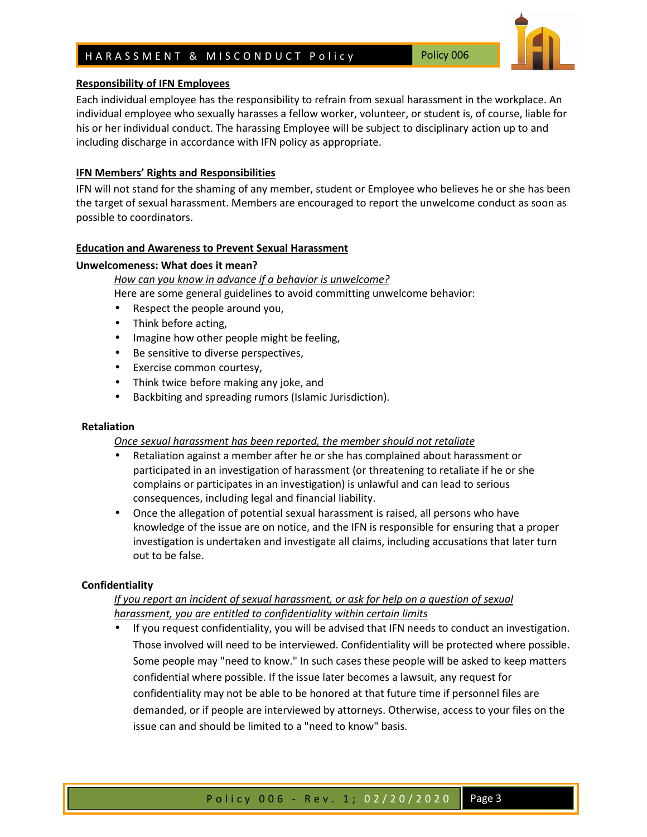# H A R A S S M E N T & M I S C O N D U C T P o lic y Policy 006

# **Responsibility of IFN Employees**

Each individual employee has the responsibility to refrain from sexual harassment in the workplace. An individual employee who sexually harasses a fellow worker, volunteer, or student is, of course, liable for his or her individual conduct. The harassing Employee will be subject to disciplinary action up to and including discharge in accordance with IFN policy as appropriate.

# **IFN Members' Rights and Responsibilities**

IFN will not stand for the shaming of any member, student or Employee who believes he or she has been the target of sexual harassment. Members are encouraged to report the unwelcome conduct as soon as possible to coordinators.

# **Education and Awareness to Prevent Sexual Harassment**

## **Unwelcomeness: What does it mean?**

 *How can you know in advance if a behavior is unwelcome?* 

Here are some general guidelines to avoid committing unwelcome behavior:

- Respect the people around you,
- Think before acting,
- Imagine how other people might be feeling,
- Be sensitive to diverse perspectives,
- Exercise common courtesy,
- Think twice before making any joke, and
- Backbiting and spreading rumors (Islamic Jurisdiction).

# **Retaliation**

# *Once sexual harassment has been reported, the member should not retaliate*

- Retaliation against a member after he or she has complained about harassment or participated in an investigation of harassment (or threatening to retaliate if he or she complains or participates in an investigation) is unlawful and can lead to serious consequences, including legal and financial liability.
- Once the allegation of potential sexual harassment is raised, all persons who have knowledge of the issue are on notice, and the IFN is responsible for ensuring that a proper investigation is undertaken and investigate all claims, including accusations that later turn out to be false.

# **Confidentiality**

# *If you report an incident of sexual harassment, or ask for help on a question of sexual harassment, you are entitled to confidentiality within certain limits*

• If you request confidentiality, you will be advised that IFN needs to conduct an investigation. Those involved will need to be interviewed. Confidentiality will be protected where possible. Some people may "need to know." In such cases these people will be asked to keep matters confidential where possible. If the issue later becomes a lawsuit, any request for confidentiality may not be able to be honored at that future time if personnel files are demanded, or if people are interviewed by attorneys. Otherwise, access to your files on the issue can and should be limited to a "need to know" basis.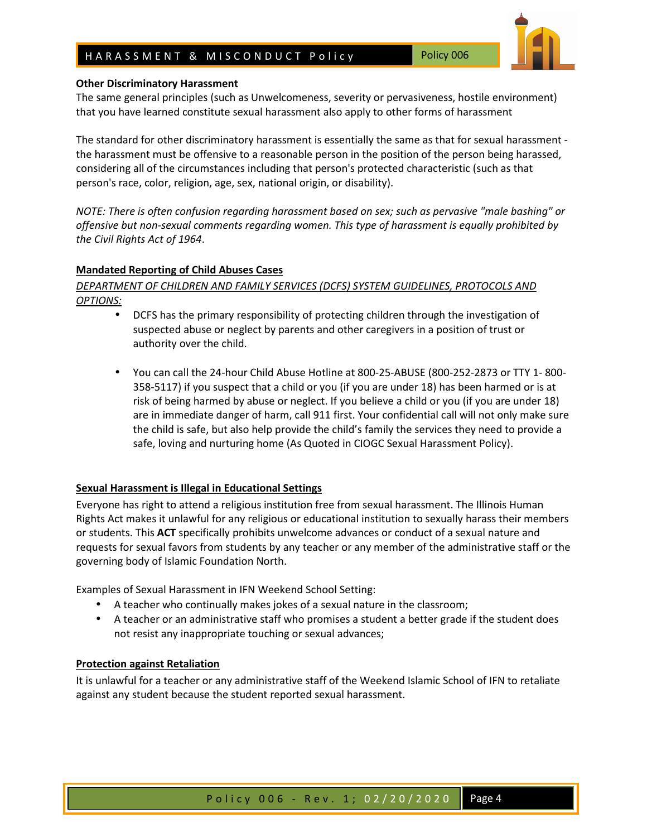# H A R A S S M E N T & M I S C O N D U C T P o lic y Policy 006



### **Other Discriminatory Harassment**

The same general principles (such as Unwelcomeness, severity or pervasiveness, hostile environment) that you have learned constitute sexual harassment also apply to other forms of harassment

The standard for other discriminatory harassment is essentially the same as that for sexual harassment the harassment must be offensive to a reasonable person in the position of the person being harassed, considering all of the circumstances including that person's protected characteristic (such as that person's race, color, religion, age, sex, national origin, or disability).

*NOTE: There is often confusion regarding harassment based on sex; such as pervasive "male bashing" or offensive but non-sexual comments regarding women. This type of harassment is equally prohibited by the Civil Rights Act of 1964*.

### **Mandated Reporting of Child Abuses Cases**

*DEPARTMENT OF CHILDREN AND FAMILY SERVICES (DCFS) SYSTEM GUIDELINES, PROTOCOLS AND OPTIONS:* 

- DCFS has the primary responsibility of protecting children through the investigation of suspected abuse or neglect by parents and other caregivers in a position of trust or authority over the child.
- You can call the 24-hour Child Abuse Hotline at 800-25-ABUSE (800-252-2873 or TTY 1- 800- 358-5117) if you suspect that a child or you (if you are under 18) has been harmed or is at risk of being harmed by abuse or neglect. If you believe a child or you (if you are under 18) are in immediate danger of harm, call 911 first. Your confidential call will not only make sure the child is safe, but also help provide the child's family the services they need to provide a safe, loving and nurturing home (As Quoted in CIOGC Sexual Harassment Policy).

### **Sexual Harassment is Illegal in Educational Settings**

Everyone has right to attend a religious institution free from sexual harassment. The Illinois Human Rights Act makes it unlawful for any religious or educational institution to sexually harass their members or students. This **ACT** specifically prohibits unwelcome advances or conduct of a sexual nature and requests for sexual favors from students by any teacher or any member of the administrative staff or the governing body of Islamic Foundation North.

Examples of Sexual Harassment in IFN Weekend School Setting:

- A teacher who continually makes jokes of a sexual nature in the classroom;
- A teacher or an administrative staff who promises a student a better grade if the student does not resist any inappropriate touching or sexual advances;

### **Protection against Retaliation**

It is unlawful for a teacher or any administrative staff of the Weekend Islamic School of IFN to retaliate against any student because the student reported sexual harassment.